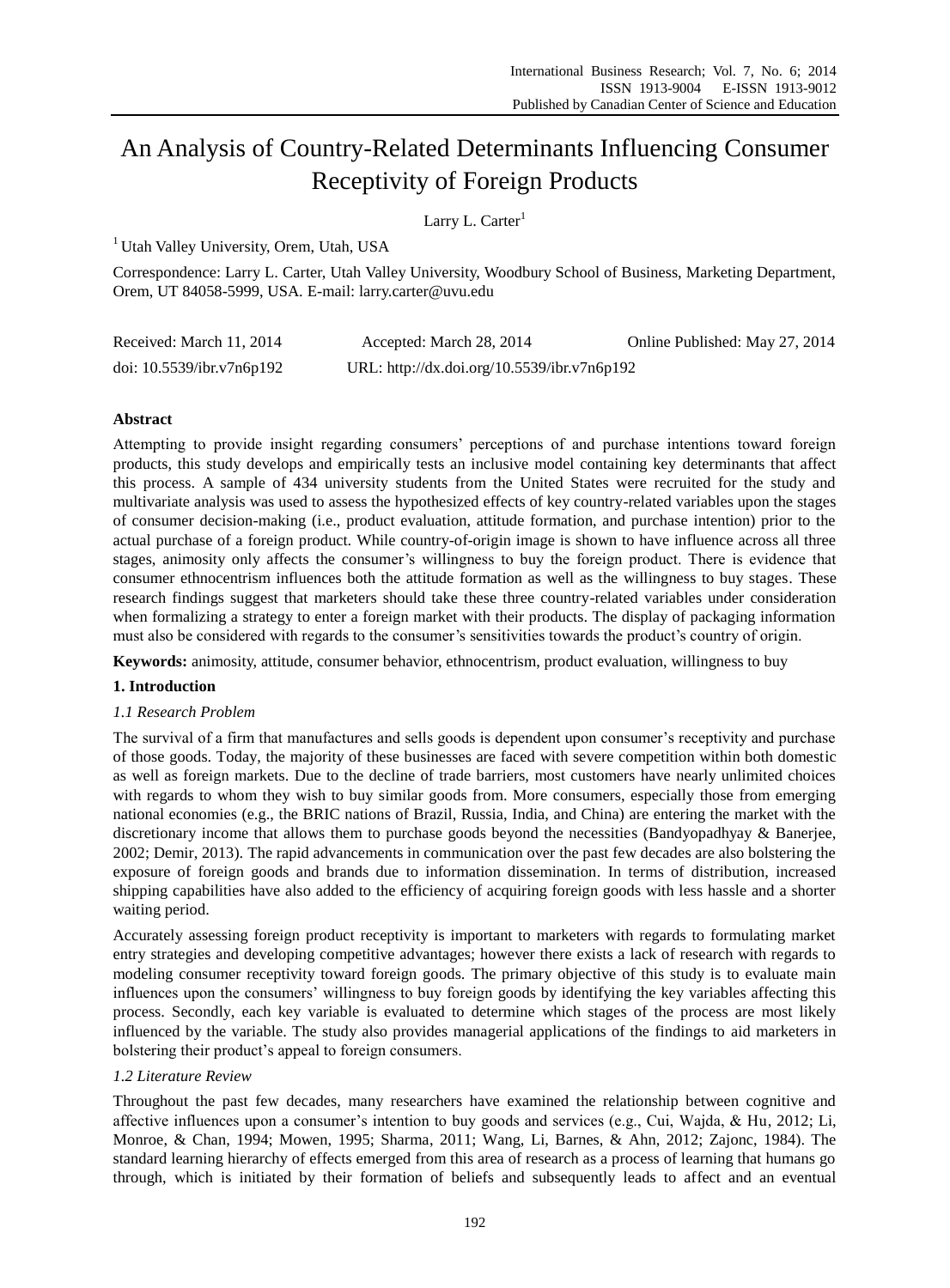# An Analysis of Country-Related Determinants Influencing Consumer Receptivity of Foreign Products

Larry L. Carter<sup>1</sup>

<sup>1</sup> Utah Valley University, Orem, Utah, USA

Correspondence: Larry L. Carter, Utah Valley University, Woodbury School of Business, Marketing Department, Orem, UT 84058-5999, USA. E-mail: larry.carter@uvu.edu

| Received: March 11, 2014     | Accepted: March 28, 2014                    | Online Published: May 27, 2014 |
|------------------------------|---------------------------------------------|--------------------------------|
| doi: $10.5539$ /ibr.v7n6p192 | URL: http://dx.doi.org/10.5539/ibr.v7n6p192 |                                |

## **Abstract**

Attempting to provide insight regarding consumers' perceptions of and purchase intentions toward foreign products, this study develops and empirically tests an inclusive model containing key determinants that affect this process. A sample of 434 university students from the United States were recruited for the study and multivariate analysis was used to assess the hypothesized effects of key country-related variables upon the stages of consumer decision-making (i.e., product evaluation, attitude formation, and purchase intention) prior to the actual purchase of a foreign product. While country-of-origin image is shown to have influence across all three stages, animosity only affects the consumer's willingness to buy the foreign product. There is evidence that consumer ethnocentrism influences both the attitude formation as well as the willingness to buy stages. These research findings suggest that marketers should take these three country-related variables under consideration when formalizing a strategy to enter a foreign market with their products. The display of packaging information must also be considered with regards to the consumer's sensitivities towards the product's country of origin.

**Keywords:** animosity, attitude, consumer behavior, ethnocentrism, product evaluation, willingness to buy

## **1. Introduction**

## *1.1 Research Problem*

The survival of a firm that manufactures and sells goods is dependent upon consumer's receptivity and purchase of those goods. Today, the majority of these businesses are faced with severe competition within both domestic as well as foreign markets. Due to the decline of trade barriers, most customers have nearly unlimited choices with regards to whom they wish to buy similar goods from. More consumers, especially those from emerging national economies (e.g., the BRIC nations of Brazil, Russia, India, and China) are entering the market with the discretionary income that allows them to purchase goods beyond the necessities (Bandyopadhyay & Banerjee, 2002; Demir, 2013). The rapid advancements in communication over the past few decades are also bolstering the exposure of foreign goods and brands due to information dissemination. In terms of distribution, increased shipping capabilities have also added to the efficiency of acquiring foreign goods with less hassle and a shorter waiting period.

Accurately assessing foreign product receptivity is important to marketers with regards to formulating market entry strategies and developing competitive advantages; however there exists a lack of research with regards to modeling consumer receptivity toward foreign goods. The primary objective of this study is to evaluate main influences upon the consumers' willingness to buy foreign goods by identifying the key variables affecting this process. Secondly, each key variable is evaluated to determine which stages of the process are most likely influenced by the variable. The study also provides managerial applications of the findings to aid marketers in bolstering their product's appeal to foreign consumers.

# *1.2 Literature Review*

Throughout the past few decades, many researchers have examined the relationship between cognitive and affective influences upon a consumer's intention to buy goods and services (e.g., Cui, Wajda, & Hu, 2012; Li, Monroe, & Chan, 1994; Mowen, 1995; Sharma, 2011; Wang, Li, Barnes, & Ahn, 2012; Zajonc, 1984). The standard learning hierarchy of effects emerged from this area of research as a process of learning that humans go through, which is initiated by their formation of beliefs and subsequently leads to affect and an eventual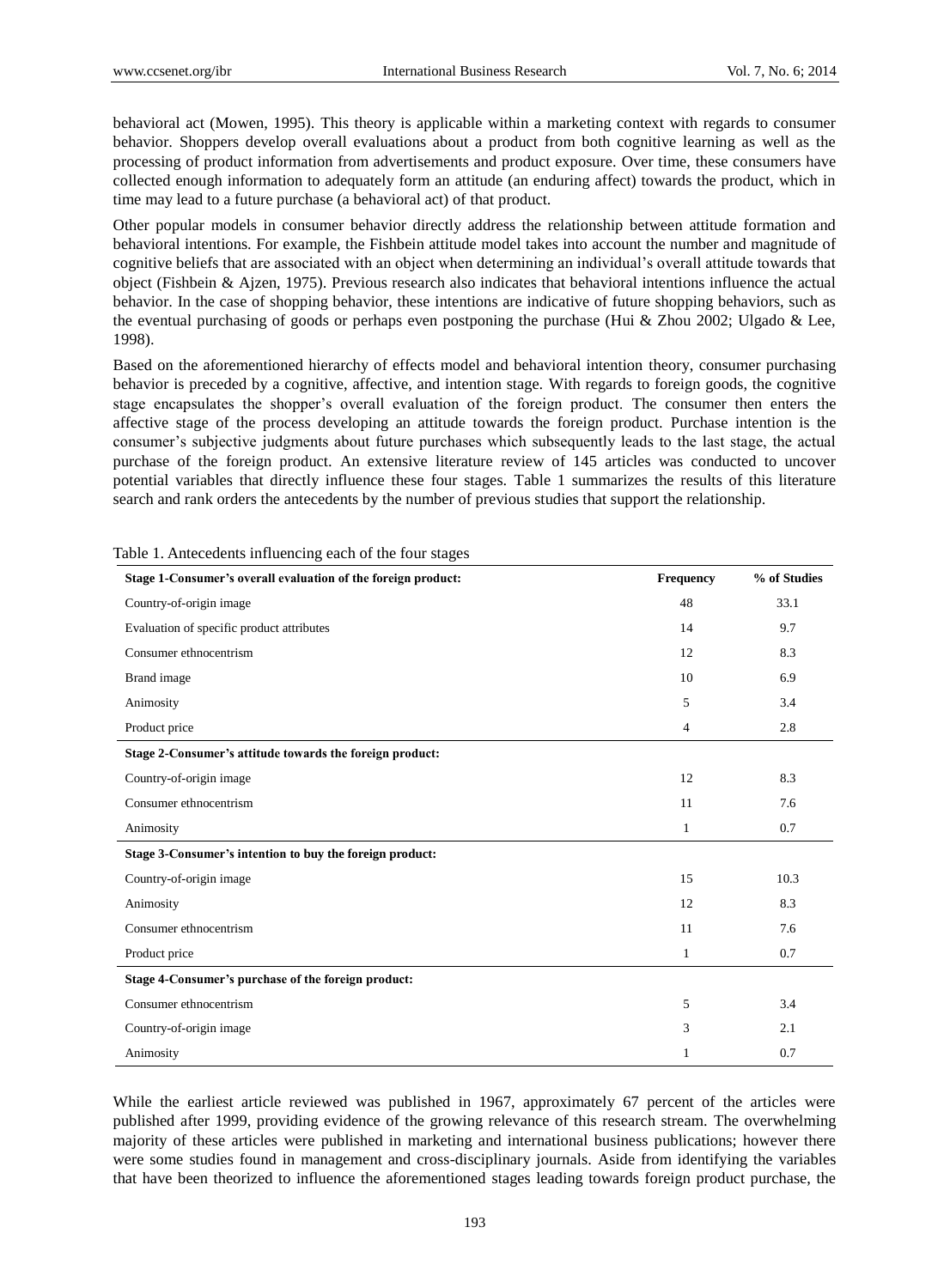behavioral act (Mowen, 1995). This theory is applicable within a marketing context with regards to consumer behavior. Shoppers develop overall evaluations about a product from both cognitive learning as well as the processing of product information from advertisements and product exposure. Over time, these consumers have collected enough information to adequately form an attitude (an enduring affect) towards the product, which in time may lead to a future purchase (a behavioral act) of that product.

Other popular models in consumer behavior directly address the relationship between attitude formation and behavioral intentions. For example, the Fishbein attitude model takes into account the number and magnitude of cognitive beliefs that are associated with an object when determining an individual's overall attitude towards that object (Fishbein & Ajzen, 1975). Previous research also indicates that behavioral intentions influence the actual behavior. In the case of shopping behavior, these intentions are indicative of future shopping behaviors, such as the eventual purchasing of goods or perhaps even postponing the purchase (Hui & Zhou 2002; Ulgado & Lee, 1998).

Based on the aforementioned hierarchy of effects model and behavioral intention theory, consumer purchasing behavior is preceded by a cognitive, affective, and intention stage. With regards to foreign goods, the cognitive stage encapsulates the shopper's overall evaluation of the foreign product. The consumer then enters the affective stage of the process developing an attitude towards the foreign product. Purchase intention is the consumer's subjective judgments about future purchases which subsequently leads to the last stage, the actual purchase of the foreign product. An extensive literature review of 145 articles was conducted to uncover potential variables that directly influence these four stages. Table 1 summarizes the results of this literature search and rank orders the antecedents by the number of previous studies that support the relationship.

| Stage 1-Consumer's overall evaluation of the foreign product: | Frequency    | % of Studies |
|---------------------------------------------------------------|--------------|--------------|
| Country-of-origin image                                       | 48           | 33.1         |
| Evaluation of specific product attributes                     | 14           | 9.7          |
| Consumer ethnocentrism                                        | 12           | 8.3          |
| Brand image                                                   | 10           | 6.9          |
| Animosity                                                     | 5            | 3.4          |
| Product price                                                 | 4            | 2.8          |
| Stage 2-Consumer's attitude towards the foreign product:      |              |              |
| Country-of-origin image                                       | 12           | 8.3          |
| Consumer ethnocentrism                                        | 11           | 7.6          |
| Animosity                                                     | $\mathbf{1}$ | 0.7          |
| Stage 3-Consumer's intention to buy the foreign product:      |              |              |
| Country-of-origin image                                       | 15           | 10.3         |
| Animosity                                                     | 12           | 8.3          |
| Consumer ethnocentrism                                        | 11           | 7.6          |
| Product price                                                 | $\mathbf{1}$ | 0.7          |
| Stage 4-Consumer's purchase of the foreign product:           |              |              |
| Consumer ethnocentrism                                        | 5            | 3.4          |
| Country-of-origin image                                       | 3            | 2.1          |
| Animosity                                                     | 1            | 0.7          |

Table 1. Antecedents influencing each of the four stages

While the earliest article reviewed was published in 1967, approximately 67 percent of the articles were published after 1999, providing evidence of the growing relevance of this research stream. The overwhelming majority of these articles were published in marketing and international business publications; however there were some studies found in management and cross-disciplinary journals. Aside from identifying the variables that have been theorized to influence the aforementioned stages leading towards foreign product purchase, the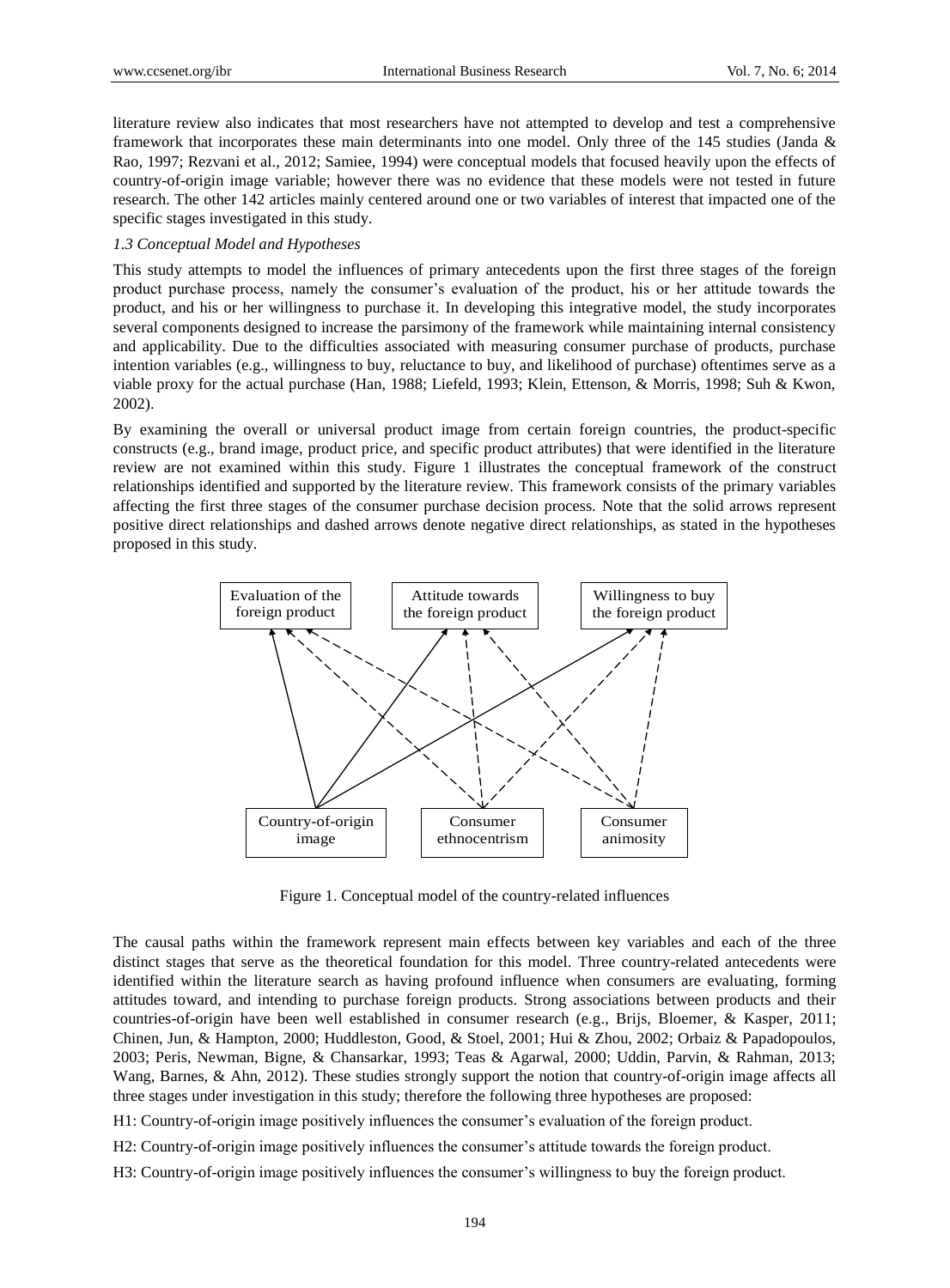literature review also indicates that most researchers have not attempted to develop and test a comprehensive framework that incorporates these main determinants into one model. Only three of the 145 studies (Janda & Rao, 1997; Rezvani et al., 2012; Samiee, 1994) were conceptual models that focused heavily upon the effects of country-of-origin image variable; however there was no evidence that these models were not tested in future research. The other 142 articles mainly centered around one or two variables of interest that impacted one of the specific stages investigated in this study.

## *1.3 Conceptual Model and Hypotheses*

This study attempts to model the influences of primary antecedents upon the first three stages of the foreign product purchase process, namely the consumer's evaluation of the product, his or her attitude towards the product, and his or her willingness to purchase it. In developing this integrative model, the study incorporates several components designed to increase the parsimony of the framework while maintaining internal consistency and applicability. Due to the difficulties associated with measuring consumer purchase of products, purchase intention variables (e.g., willingness to buy, reluctance to buy, and likelihood of purchase) oftentimes serve as a viable proxy for the actual purchase (Han, 1988; Liefeld, 1993; Klein, Ettenson, & Morris, 1998; Suh & Kwon, 2002).

By examining the overall or universal product image from certain foreign countries, the product-specific constructs (e.g., brand image, product price, and specific product attributes) that were identified in the literature review are not examined within this study. Figure 1 illustrates the conceptual framework of the construct relationships identified and supported by the literature review. This framework consists of the primary variables affecting the first three stages of the consumer purchase decision process. Note that the solid arrows represent positive direct relationships and dashed arrows denote negative direct relationships, as stated in the hypotheses proposed in this study.



Figure 1. Conceptual model of the country-related influences

The causal paths within the framework represent main effects between key variables and each of the three distinct stages that serve as the theoretical foundation for this model. Three country-related antecedents were identified within the literature search as having profound influence when consumers are evaluating, forming attitudes toward, and intending to purchase foreign products. Strong associations between products and their countries-of-origin have been well established in consumer research (e.g., Brijs, Bloemer, & Kasper, 2011; Chinen, Jun, & Hampton, 2000; Huddleston, Good, & Stoel, 2001; Hui & Zhou, 2002; Orbaiz & Papadopoulos, 2003; Peris, Newman, Bigne, & Chansarkar, 1993; Teas & Agarwal, 2000; Uddin, Parvin, & Rahman, 2013; Wang, Barnes, & Ahn, 2012). These studies strongly support the notion that country-of-origin image affects all three stages under investigation in this study; therefore the following three hypotheses are proposed:

H1: Country-of-origin image positively influences the consumer's evaluation of the foreign product.

- H2: Country-of-origin image positively influences the consumer's attitude towards the foreign product.
- H3: Country-of-origin image positively influences the consumer's willingness to buy the foreign product.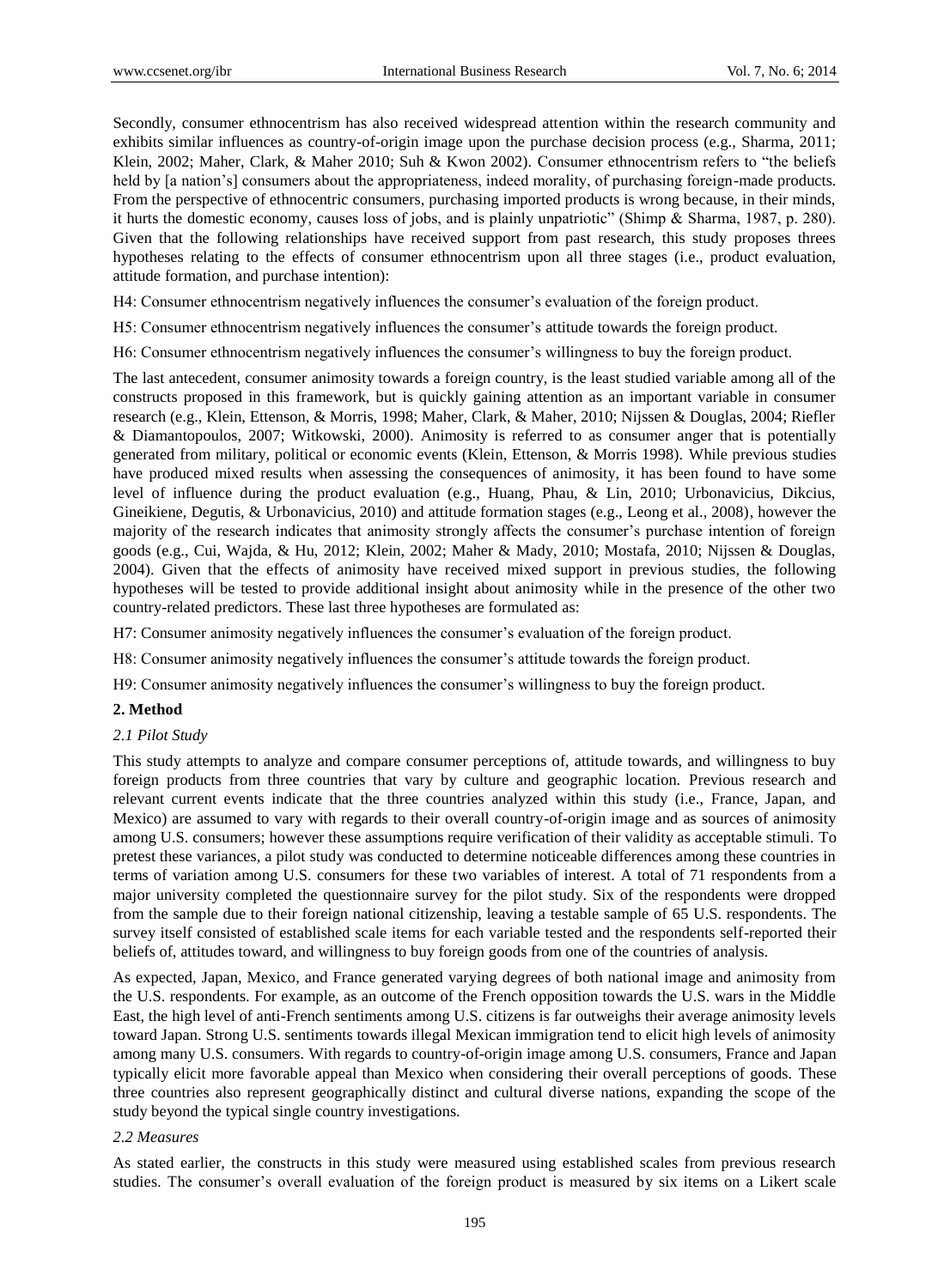Secondly, consumer ethnocentrism has also received widespread attention within the research community and exhibits similar influences as country-of-origin image upon the purchase decision process (e.g., Sharma, 2011; Klein, 2002; Maher, Clark, & Maher 2010; Suh & Kwon 2002). Consumer ethnocentrism refers to "the beliefs" held by [a nation's] consumers about the appropriateness, indeed morality, of purchasing foreign-made products. From the perspective of ethnocentric consumers, purchasing imported products is wrong because, in their minds, it hurts the domestic economy, causes loss of jobs, and is plainly unpatriotic" (Shimp & Sharma, 1987, p. 280). Given that the following relationships have received support from past research, this study proposes threes hypotheses relating to the effects of consumer ethnocentrism upon all three stages (i.e., product evaluation, attitude formation, and purchase intention):

H4: Consumer ethnocentrism negatively influences the consumer's evaluation of the foreign product.

H5: Consumer ethnocentrism negatively influences the consumer's attitude towards the foreign product.

H6: Consumer ethnocentrism negatively influences the consumer's willingness to buy the foreign product.

The last antecedent, consumer animosity towards a foreign country, is the least studied variable among all of the constructs proposed in this framework, but is quickly gaining attention as an important variable in consumer research (e.g., Klein, Ettenson, & Morris, 1998; Maher, Clark, & Maher, 2010; Nijssen & Douglas, 2004; Riefler & Diamantopoulos, 2007; Witkowski, 2000). Animosity is referred to as consumer anger that is potentially generated from military, political or economic events (Klein, Ettenson, & Morris 1998). While previous studies have produced mixed results when assessing the consequences of animosity, it has been found to have some level of influence during the product evaluation (e.g., Huang, Phau, & Lin, 2010; Urbonavicius, Dikcius, Gineikiene, Degutis, & Urbonavicius, 2010) and attitude formation stages (e.g., Leong et al., 2008), however the majority of the research indicates that animosity strongly affects the consumer's purchase intention of foreign goods (e.g., Cui, Wajda, & Hu, 2012; Klein, 2002; Maher & Mady, 2010; Mostafa, 2010; Nijssen & Douglas, 2004). Given that the effects of animosity have received mixed support in previous studies, the following hypotheses will be tested to provide additional insight about animosity while in the presence of the other two country-related predictors. These last three hypotheses are formulated as:

H7: Consumer animosity negatively influences the consumer's evaluation of the foreign product.

H8: Consumer animosity negatively influences the consumer's attitude towards the foreign product.

H9: Consumer animosity negatively influences the consumer's willingness to buy the foreign product.

#### **2. Method**

#### *2.1 Pilot Study*

This study attempts to analyze and compare consumer perceptions of, attitude towards, and willingness to buy foreign products from three countries that vary by culture and geographic location. Previous research and relevant current events indicate that the three countries analyzed within this study (i.e., France, Japan, and Mexico) are assumed to vary with regards to their overall country-of-origin image and as sources of animosity among U.S. consumers; however these assumptions require verification of their validity as acceptable stimuli. To pretest these variances, a pilot study was conducted to determine noticeable differences among these countries in terms of variation among U.S. consumers for these two variables of interest. A total of 71 respondents from a major university completed the questionnaire survey for the pilot study. Six of the respondents were dropped from the sample due to their foreign national citizenship, leaving a testable sample of 65 U.S. respondents. The survey itself consisted of established scale items for each variable tested and the respondents self-reported their beliefs of, attitudes toward, and willingness to buy foreign goods from one of the countries of analysis.

As expected, Japan, Mexico, and France generated varying degrees of both national image and animosity from the U.S. respondents. For example, as an outcome of the French opposition towards the U.S. wars in the Middle East, the high level of anti-French sentiments among U.S. citizens is far outweighs their average animosity levels toward Japan. Strong U.S. sentiments towards illegal Mexican immigration tend to elicit high levels of animosity among many U.S. consumers. With regards to country-of-origin image among U.S. consumers, France and Japan typically elicit more favorable appeal than Mexico when considering their overall perceptions of goods. These three countries also represent geographically distinct and cultural diverse nations, expanding the scope of the study beyond the typical single country investigations.

#### *2.2 Measures*

As stated earlier, the constructs in this study were measured using established scales from previous research studies. The consumer's overall evaluation of the foreign product is measured by six items on a Likert scale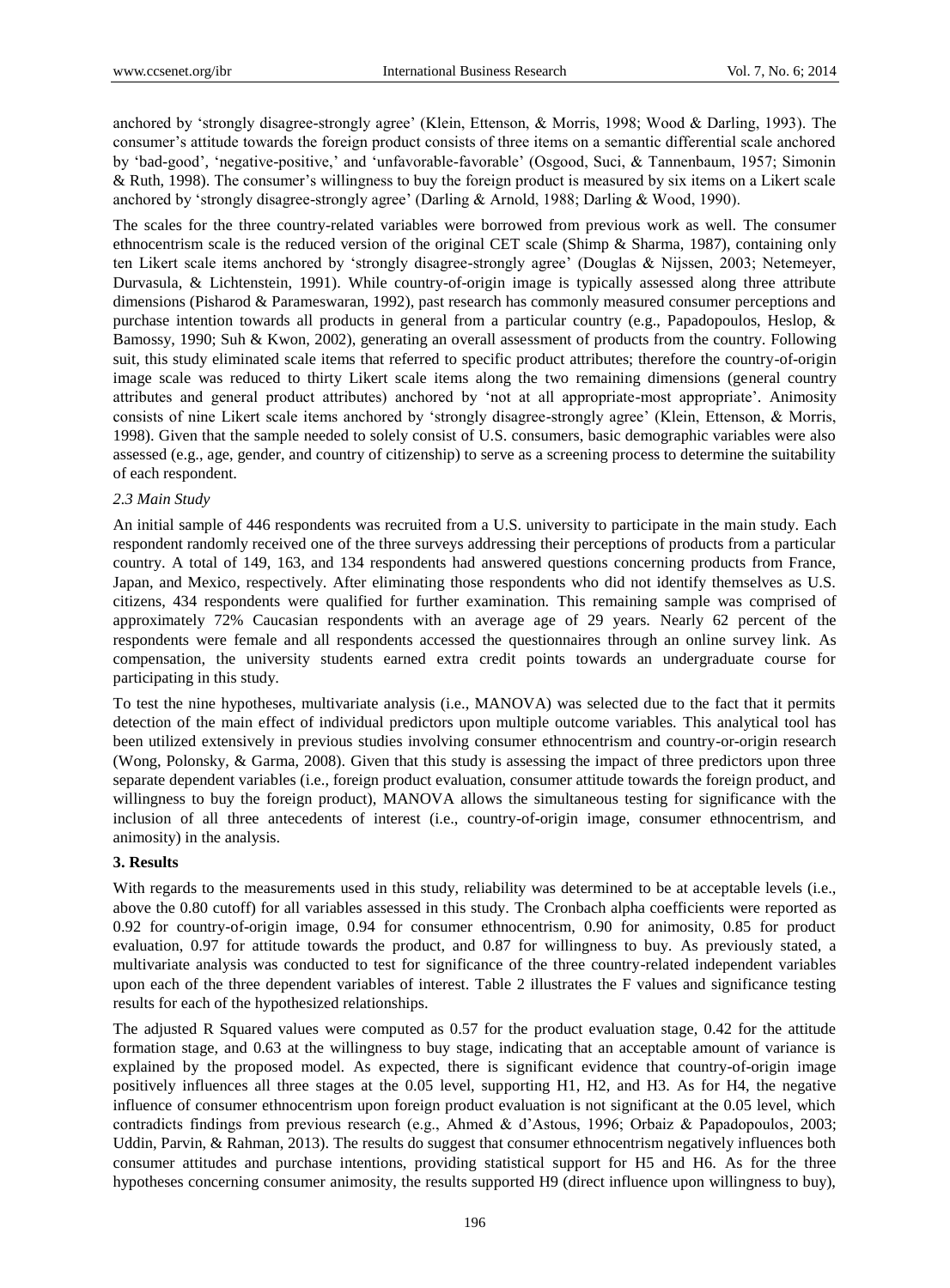anchored by 'strongly disagree-strongly agree' (Klein, Ettenson, & Morris, 1998; Wood & Darling, 1993). The consumer's attitude towards the foreign product consists of three items on a semantic differential scale anchored by ‗bad-good', ‗negative-positive,' and ‗unfavorable-favorable' (Osgood, Suci, & Tannenbaum, 1957; Simonin & Ruth, 1998). The consumer's willingness to buy the foreign product is measured by six items on a Likert scale anchored by 'strongly disagree-strongly agree' (Darling & Arnold, 1988; Darling & Wood, 1990).

The scales for the three country-related variables were borrowed from previous work as well. The consumer ethnocentrism scale is the reduced version of the original CET scale (Shimp & Sharma, 1987), containing only ten Likert scale items anchored by 'strongly disagree-strongly agree' (Douglas & Nijssen, 2003; Netemeyer, Durvasula, & Lichtenstein, 1991). While country-of-origin image is typically assessed along three attribute dimensions (Pisharod & Parameswaran, 1992), past research has commonly measured consumer perceptions and purchase intention towards all products in general from a particular country (e.g., Papadopoulos, Heslop, & Bamossy, 1990; Suh & Kwon, 2002), generating an overall assessment of products from the country. Following suit, this study eliminated scale items that referred to specific product attributes; therefore the country-of-origin image scale was reduced to thirty Likert scale items along the two remaining dimensions (general country attributes and general product attributes) anchored by 'not at all appropriate-most appropriate'. Animosity consists of nine Likert scale items anchored by ‗strongly disagree-strongly agree' (Klein, Ettenson, & Morris, 1998). Given that the sample needed to solely consist of U.S. consumers, basic demographic variables were also assessed (e.g., age, gender, and country of citizenship) to serve as a screening process to determine the suitability of each respondent.

## *2.3 Main Study*

An initial sample of 446 respondents was recruited from a U.S. university to participate in the main study. Each respondent randomly received one of the three surveys addressing their perceptions of products from a particular country. A total of 149, 163, and 134 respondents had answered questions concerning products from France, Japan, and Mexico, respectively. After eliminating those respondents who did not identify themselves as U.S. citizens, 434 respondents were qualified for further examination. This remaining sample was comprised of approximately 72% Caucasian respondents with an average age of 29 years. Nearly 62 percent of the respondents were female and all respondents accessed the questionnaires through an online survey link. As compensation, the university students earned extra credit points towards an undergraduate course for participating in this study.

To test the nine hypotheses, multivariate analysis (i.e., MANOVA) was selected due to the fact that it permits detection of the main effect of individual predictors upon multiple outcome variables. This analytical tool has been utilized extensively in previous studies involving consumer ethnocentrism and country-or-origin research (Wong, Polonsky, & Garma, 2008). Given that this study is assessing the impact of three predictors upon three separate dependent variables (i.e., foreign product evaluation, consumer attitude towards the foreign product, and willingness to buy the foreign product), MANOVA allows the simultaneous testing for significance with the inclusion of all three antecedents of interest (i.e., country-of-origin image, consumer ethnocentrism, and animosity) in the analysis.

## **3. Results**

With regards to the measurements used in this study, reliability was determined to be at acceptable levels (i.e., above the 0.80 cutoff) for all variables assessed in this study. The Cronbach alpha coefficients were reported as 0.92 for country-of-origin image, 0.94 for consumer ethnocentrism, 0.90 for animosity, 0.85 for product evaluation, 0.97 for attitude towards the product, and 0.87 for willingness to buy. As previously stated, a multivariate analysis was conducted to test for significance of the three country-related independent variables upon each of the three dependent variables of interest. Table 2 illustrates the F values and significance testing results for each of the hypothesized relationships.

The adjusted R Squared values were computed as 0.57 for the product evaluation stage, 0.42 for the attitude formation stage, and 0.63 at the willingness to buy stage, indicating that an acceptable amount of variance is explained by the proposed model. As expected, there is significant evidence that country-of-origin image positively influences all three stages at the 0.05 level, supporting H1, H2, and H3. As for H4, the negative influence of consumer ethnocentrism upon foreign product evaluation is not significant at the 0.05 level, which contradicts findings from previous research (e.g., Ahmed & d'Astous, 1996; Orbaiz & Papadopoulos, 2003; Uddin, Parvin, & Rahman, 2013). The results do suggest that consumer ethnocentrism negatively influences both consumer attitudes and purchase intentions, providing statistical support for H5 and H6. As for the three hypotheses concerning consumer animosity, the results supported H9 (direct influence upon willingness to buy),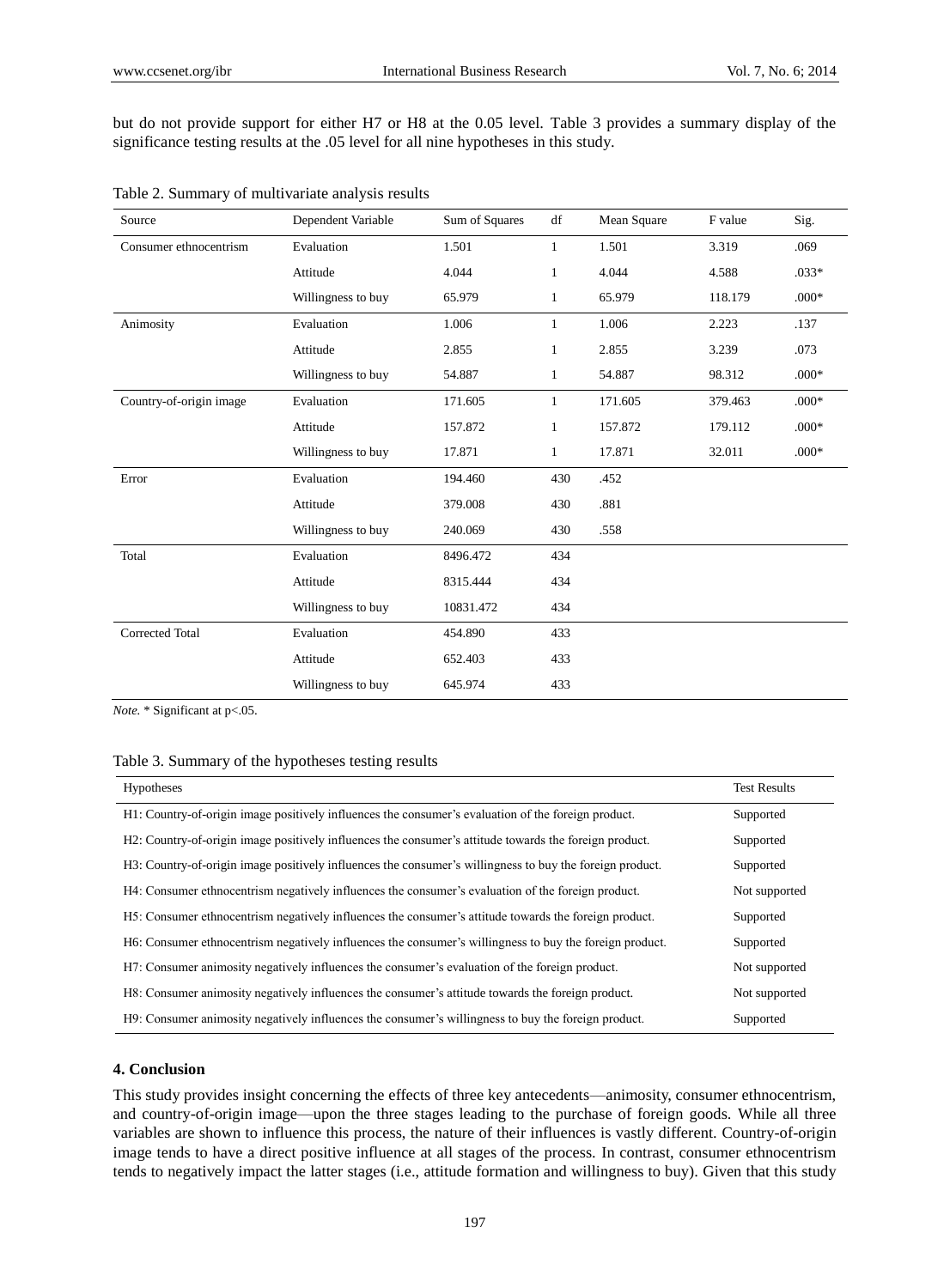but do not provide support for either H7 or H8 at the 0.05 level. Table 3 provides a summary display of the significance testing results at the .05 level for all nine hypotheses in this study.

|  | Table 2. Summary of multivariate analysis results |  |
|--|---------------------------------------------------|--|
|  |                                                   |  |

| Source                  | Dependent Variable | Sum of Squares | df           | Mean Square | F value | Sig.    |
|-------------------------|--------------------|----------------|--------------|-------------|---------|---------|
| Consumer ethnocentrism  | Evaluation         | 1.501          | $\mathbf{1}$ | 1.501       | 3.319   | .069    |
|                         | Attitude           | 4.044          | 1            | 4.044       | 4.588   | $.033*$ |
|                         | Willingness to buy | 65.979         | 1            | 65.979      | 118.179 | $.000*$ |
| Animosity               | Evaluation         | 1.006          | $\mathbf{1}$ | 1.006       | 2.223   | .137    |
|                         | Attitude           | 2.855          | 1            | 2.855       | 3.239   | .073    |
|                         | Willingness to buy | 54.887         | 1            | 54.887      | 98.312  | $.000*$ |
| Country-of-origin image | Evaluation         | 171.605        | 1            | 171.605     | 379.463 | $000*$  |
|                         | Attitude           | 157.872        | 1            | 157.872     | 179.112 | $.000*$ |
|                         | Willingness to buy | 17.871         | 1            | 17.871      | 32.011  | $.000*$ |
| Error                   | Evaluation         | 194.460        | 430          | .452        |         |         |
|                         | Attitude           | 379.008        | 430          | .881        |         |         |
|                         | Willingness to buy | 240.069        | 430          | .558        |         |         |
| Total                   | Evaluation         | 8496.472       | 434          |             |         |         |
|                         | Attitude           | 8315.444       | 434          |             |         |         |
|                         | Willingness to buy | 10831.472      | 434          |             |         |         |
| <b>Corrected Total</b>  | Evaluation         | 454.890        | 433          |             |         |         |
|                         | Attitude           | 652.403        | 433          |             |         |         |
|                         | Willingness to buy | 645.974        | 433          |             |         |         |

*Note.* \* Significant at p<.05.

## Table 3. Summary of the hypotheses testing results

| <b>Hypotheses</b>                                                                                        | <b>Test Results</b> |
|----------------------------------------------------------------------------------------------------------|---------------------|
| H1: Country-of-origin image positively influences the consumer's evaluation of the foreign product.      | Supported           |
| H2: Country-of-origin image positively influences the consumer's attitude towards the foreign product.   | Supported           |
| H3: Country-of-origin image positively influences the consumer's willingness to buy the foreign product. | Supported           |
| H4: Consumer ethnocentrism negatively influences the consumer's evaluation of the foreign product.       | Not supported       |
| H5: Consumer ethnocentrism negatively influences the consumer's attitude towards the foreign product.    | Supported           |
| H6: Consumer ethnocentrism negatively influences the consumer's willingness to buy the foreign product.  | Supported           |
| H7: Consumer animosity negatively influences the consumer's evaluation of the foreign product.           | Not supported       |
| H8: Consumer animosity negatively influences the consumer's attitude towards the foreign product.        | Not supported       |
| H9: Consumer animosity negatively influences the consumer's willingness to buy the foreign product.      | Supported           |

#### **4. Conclusion**

This study provides insight concerning the effects of three key antecedents—animosity, consumer ethnocentrism, and country-of-origin image—upon the three stages leading to the purchase of foreign goods. While all three variables are shown to influence this process, the nature of their influences is vastly different. Country-of-origin image tends to have a direct positive influence at all stages of the process. In contrast, consumer ethnocentrism tends to negatively impact the latter stages (i.e., attitude formation and willingness to buy). Given that this study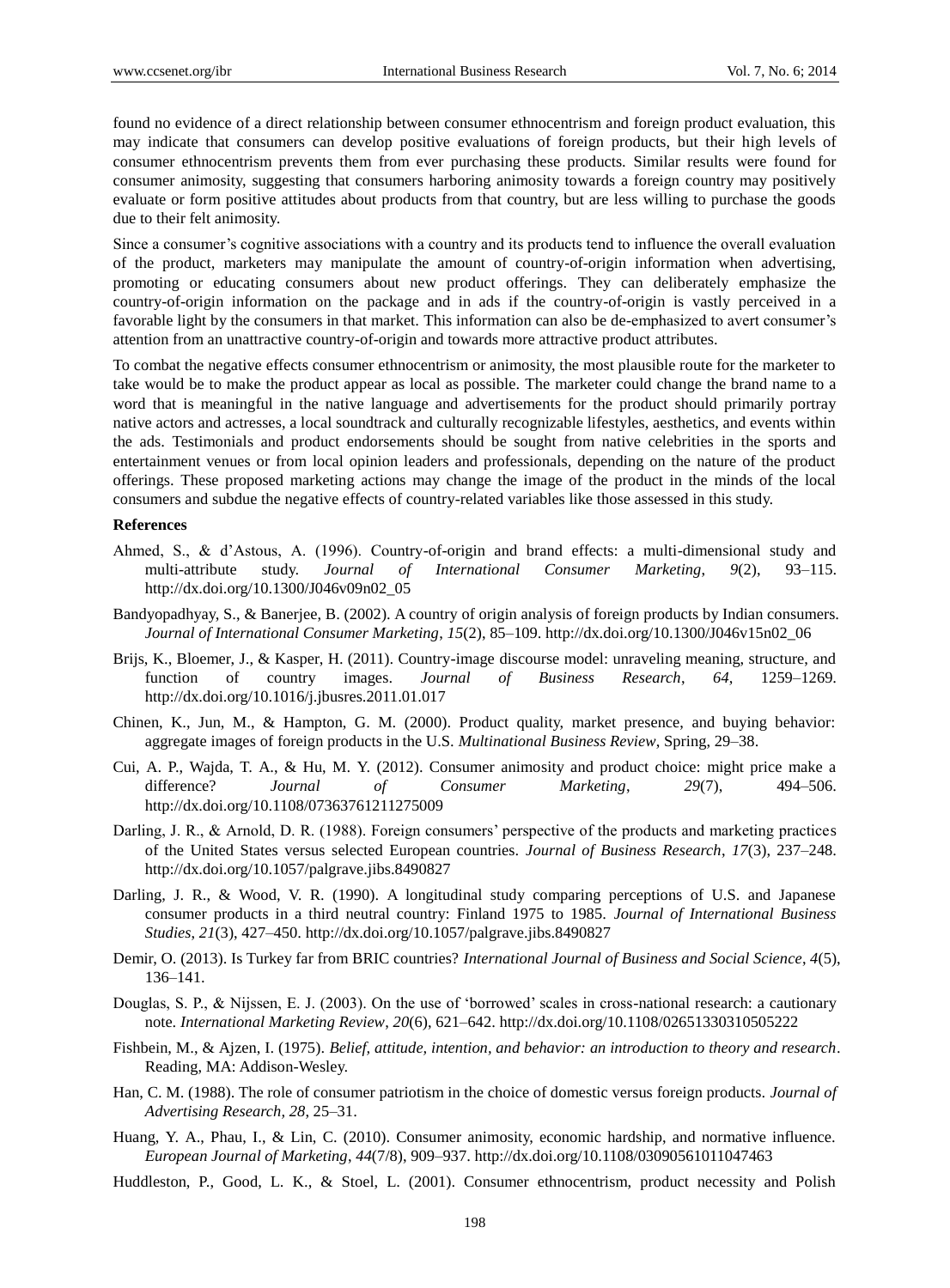found no evidence of a direct relationship between consumer ethnocentrism and foreign product evaluation, this may indicate that consumers can develop positive evaluations of foreign products, but their high levels of consumer ethnocentrism prevents them from ever purchasing these products. Similar results were found for consumer animosity, suggesting that consumers harboring animosity towards a foreign country may positively evaluate or form positive attitudes about products from that country, but are less willing to purchase the goods due to their felt animosity.

Since a consumer's cognitive associations with a country and its products tend to influence the overall evaluation of the product, marketers may manipulate the amount of country-of-origin information when advertising, promoting or educating consumers about new product offerings. They can deliberately emphasize the country-of-origin information on the package and in ads if the country-of-origin is vastly perceived in a favorable light by the consumers in that market. This information can also be de-emphasized to avert consumer's attention from an unattractive country-of-origin and towards more attractive product attributes.

To combat the negative effects consumer ethnocentrism or animosity, the most plausible route for the marketer to take would be to make the product appear as local as possible. The marketer could change the brand name to a word that is meaningful in the native language and advertisements for the product should primarily portray native actors and actresses, a local soundtrack and culturally recognizable lifestyles, aesthetics, and events within the ads. Testimonials and product endorsements should be sought from native celebrities in the sports and entertainment venues or from local opinion leaders and professionals, depending on the nature of the product offerings. These proposed marketing actions may change the image of the product in the minds of the local consumers and subdue the negative effects of country-related variables like those assessed in this study.

#### **References**

- Ahmed, S., & d'Astous, A. (1996). Country-of-origin and brand effects: a multi-dimensional study and multi-attribute study. *Journal of International Consumer Marketing*, *9*(2), 93–115. http://dx.doi.org/10.1300/J046v09n02\_05
- Bandyopadhyay, S., & Banerjee, B. (2002). A country of origin analysis of foreign products by Indian consumers. *Journal of International Consumer Marketing*, *15*(2), 85–109. http://dx.doi.org/10.1300/J046v15n02\_06
- Brijs, K., Bloemer, J., & Kasper, H. (2011). Country-image discourse model: unraveling meaning, structure, and function of country images. *Journal of Business Research*, *64*, 1259–1269. http://dx.doi.org/10.1016/j.jbusres.2011.01.017
- Chinen, K., Jun, M., & Hampton, G. M. (2000). Product quality, market presence, and buying behavior: aggregate images of foreign products in the U.S. *Multinational Business Review*, Spring, 29–38.
- Cui, A. P., Wajda, T. A., & Hu, M. Y. (2012). Consumer animosity and product choice: might price make a difference? *Journal of Consumer Marketing*, *29*(7), 494–506. http://dx.doi.org/10.1108/07363761211275009
- Darling, J. R., & Arnold, D. R. (1988). Foreign consumers' perspective of the products and marketing practices of the United States versus selected European countries. *Journal of Business Research*, *17*(3), 237–248. http://dx.doi.org/10.1057/palgrave.jibs.8490827
- Darling, J. R., & Wood, V. R. (1990). A longitudinal study comparing perceptions of U.S. and Japanese consumer products in a third neutral country: Finland 1975 to 1985. *Journal of International Business Studies*, *21*(3), 427–450. http://dx.doi.org/10.1057/palgrave.jibs.8490827
- Demir, O. (2013). Is Turkey far from BRIC countries? *International Journal of Business and Social Science*, *4*(5), 136–141.
- Douglas, S. P., & Nijssen, E. J. (2003). On the use of 'borrowed' scales in cross-national research: a cautionary note. *International Marketing Review*, *20*(6), 621–642. http://dx.doi.org/10.1108/02651330310505222
- Fishbein, M., & Ajzen, I. (1975). *Belief, attitude, intention, and behavior: an introduction to theory and research*. Reading, MA: Addison-Wesley.
- Han, C. M. (1988). The role of consumer patriotism in the choice of domestic versus foreign products. *Journal of Advertising Research, 28*, 25–31.
- Huang, Y. A., Phau, I., & Lin, C. (2010). Consumer animosity, economic hardship, and normative influence. *European Journal of Marketing*, *44*(7/8), 909–937. http://dx.doi.org/10.1108/03090561011047463
- Huddleston, P., Good, L. K., & Stoel, L. (2001). Consumer ethnocentrism, product necessity and Polish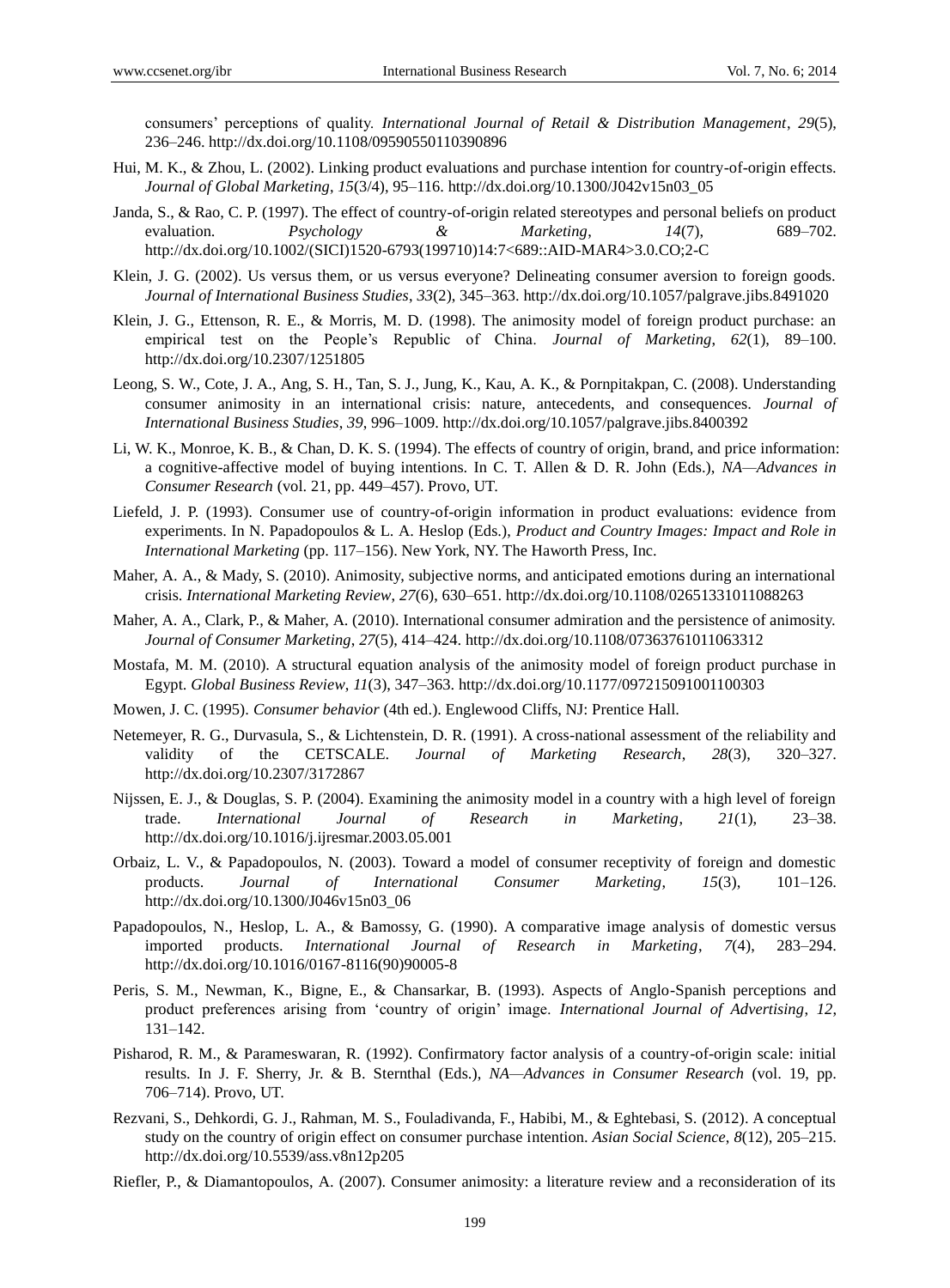consumers' perceptions of quality. *International Journal of Retail & Distribution Management*, *29*(5), 236–246. http://dx.doi.org/10.1108/09590550110390896

- Hui, M. K., & Zhou, L. (2002). Linking product evaluations and purchase intention for country-of-origin effects. *Journal of Global Marketing*, *15*(3/4), 95–116. http://dx.doi.org/10.1300/J042v15n03\_05
- Janda, S., & Rao, C. P. (1997). The effect of country-of-origin related stereotypes and personal beliefs on product evaluation. *Psychology & Marketing*, *14*(7), 689–702. http://dx.doi.org/10.1002/(SICI)1520-6793(199710)14:7<689::AID-MAR4>3.0.CO;2-C
- Klein, J. G. (2002). Us versus them, or us versus everyone? Delineating consumer aversion to foreign goods. *Journal of International Business Studies*, *33*(2), 345–363. http://dx.doi.org/10.1057/palgrave.jibs.8491020
- Klein, J. G., Ettenson, R. E., & Morris, M. D. (1998). The animosity model of foreign product purchase: an empirical test on the People's Republic of China. *Journal of Marketing*, *62*(1), 89–100. http://dx.doi.org/10.2307/1251805
- Leong, S. W., Cote, J. A., Ang, S. H., Tan, S. J., Jung, K., Kau, A. K., & Pornpitakpan, C. (2008). Understanding consumer animosity in an international crisis: nature, antecedents, and consequences. *Journal of International Business Studies*, *39*, 996–1009. http://dx.doi.org/10.1057/palgrave.jibs.8400392
- Li, W. K., Monroe, K. B., & Chan, D. K. S. (1994). The effects of country of origin, brand, and price information: a cognitive-affective model of buying intentions. In C. T. Allen & D. R. John (Eds.), *NA—Advances in Consumer Research* (vol. 21, pp. 449–457). Provo, UT.
- Liefeld, J. P. (1993). Consumer use of country-of-origin information in product evaluations: evidence from experiments. In N. Papadopoulos & L. A. Heslop (Eds.), *Product and Country Images: Impact and Role in International Marketing* (pp. 117–156). New York, NY. The Haworth Press, Inc.
- Maher, A. A., & Mady, S. (2010). Animosity, subjective norms, and anticipated emotions during an international crisis. *International Marketing Review*, *27*(6), 630–651. http://dx.doi.org/10.1108/02651331011088263
- Maher, A. A., Clark, P., & Maher, A. (2010). International consumer admiration and the persistence of animosity. *Journal of Consumer Marketing*, *27*(5), 414–424. http://dx.doi.org/10.1108/07363761011063312
- Mostafa, M. M. (2010). A structural equation analysis of the animosity model of foreign product purchase in Egypt. *Global Business Review*, *11*(3), 347–363. http://dx.doi.org/10.1177/097215091001100303
- Mowen, J. C. (1995). *Consumer behavior* (4th ed.). Englewood Cliffs, NJ: Prentice Hall.
- Netemeyer, R. G., Durvasula, S., & Lichtenstein, D. R. (1991). A cross-national assessment of the reliability and validity of the CETSCALE. *Journal of Marketing Research*, *28*(3), 320–327. http://dx.doi.org/10.2307/3172867
- Nijssen, E. J., & Douglas, S. P. (2004). Examining the animosity model in a country with a high level of foreign trade. *International Journal of Research in Marketing*, *21*(1), 23–38. http://dx.doi.org/10.1016/j.ijresmar.2003.05.001
- Orbaiz, L. V., & Papadopoulos, N. (2003). Toward a model of consumer receptivity of foreign and domestic products. *Journal of International Consumer Marketing*, *15*(3), 101–126. http://dx.doi.org/10.1300/J046v15n03\_06
- Papadopoulos, N., Heslop, L. A., & Bamossy, G. (1990). A comparative image analysis of domestic versus imported products. *International Journal of Research in Marketing*, *7*(4), 283–294. http://dx.doi.org/10.1016/0167-8116(90)90005-8
- Peris, S. M., Newman, K., Bigne, E., & Chansarkar, B. (1993). Aspects of Anglo-Spanish perceptions and product preferences arising from ‗country of origin' image. *International Journal of Advertising*, *12*, 131–142.
- Pisharod, R. M., & Parameswaran, R. (1992). Confirmatory factor analysis of a country-of-origin scale: initial results. In J. F. Sherry, Jr. & B. Sternthal (Eds.), *NA—Advances in Consumer Research* (vol. 19, pp. 706–714). Provo, UT.
- Rezvani, S., Dehkordi, G. J., Rahman, M. S., Fouladivanda, F., Habibi, M., & Eghtebasi, S. (2012). A conceptual study on the country of origin effect on consumer purchase intention. *Asian Social Science*, *8*(12), 205–215. http://dx.doi.org/10.5539/ass.v8n12p205
- Riefler, P., & Diamantopoulos, A. (2007). Consumer animosity: a literature review and a reconsideration of its